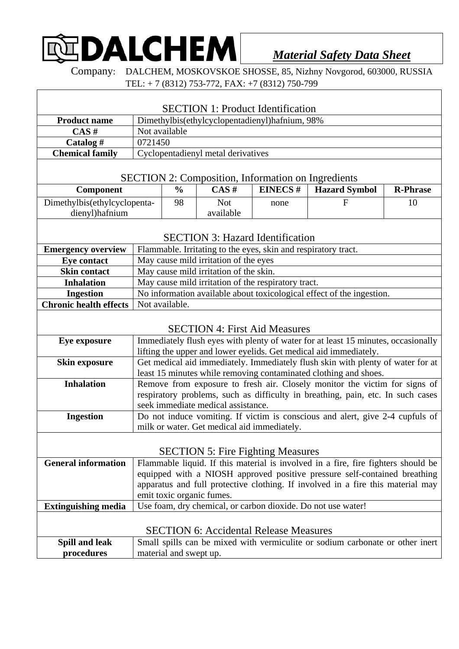## **DALCHEM**

*Material Safety Data Sheet*

Company: DALCHEM, MOSKOVSKOE SHOSSE, 85, Nizhny Novgorod, 603000, RUSSIA TEL: + 7 (8312) 753-772, FAX: +7 (8312) 750-799

|                                                           |                                                                                                                              |               |            | <b>SECTION 1: Product Identification</b> |                                                                                   |                 |
|-----------------------------------------------------------|------------------------------------------------------------------------------------------------------------------------------|---------------|------------|------------------------------------------|-----------------------------------------------------------------------------------|-----------------|
| <b>Product name</b>                                       | Dimethylbis(ethylcyclopentadienyl)hafnium, 98%                                                                               |               |            |                                          |                                                                                   |                 |
| CAS#                                                      | Not available                                                                                                                |               |            |                                          |                                                                                   |                 |
| Catalog#                                                  | 0721450                                                                                                                      |               |            |                                          |                                                                                   |                 |
| <b>Chemical family</b>                                    | Cyclopentadienyl metal derivatives                                                                                           |               |            |                                          |                                                                                   |                 |
| <b>SECTION 2: Composition, Information on Ingredients</b> |                                                                                                                              |               |            |                                          |                                                                                   |                 |
| Component                                                 |                                                                                                                              | $\frac{0}{0}$ | CAS#       | <b>EINECS#</b>                           | <b>Hazard Symbol</b>                                                              | <b>R-Phrase</b> |
| Dimethylbis(ethylcyclopenta-                              |                                                                                                                              | 98            | <b>Not</b> | none                                     | F                                                                                 | 10              |
| dienyl)hafnium                                            |                                                                                                                              |               | available  |                                          |                                                                                   |                 |
| <b>SECTION 3: Hazard Identification</b>                   |                                                                                                                              |               |            |                                          |                                                                                   |                 |
| <b>Emergency overview</b>                                 | Flammable. Irritating to the eyes, skin and respiratory tract.                                                               |               |            |                                          |                                                                                   |                 |
| <b>Eye contact</b><br><b>Skin contact</b>                 | May cause mild irritation of the eyes                                                                                        |               |            |                                          |                                                                                   |                 |
| <b>Inhalation</b>                                         | May cause mild irritation of the skin.                                                                                       |               |            |                                          |                                                                                   |                 |
| <b>Ingestion</b>                                          | May cause mild irritation of the respiratory tract.<br>No information available about toxicological effect of the ingestion. |               |            |                                          |                                                                                   |                 |
| <b>Chronic health effects</b>                             | Not available.                                                                                                               |               |            |                                          |                                                                                   |                 |
|                                                           |                                                                                                                              |               |            |                                          |                                                                                   |                 |
|                                                           |                                                                                                                              |               |            | <b>SECTION 4: First Aid Measures</b>     |                                                                                   |                 |
| Eye exposure                                              |                                                                                                                              |               |            |                                          | Immediately flush eyes with plenty of water for at least 15 minutes, occasionally |                 |
|                                                           | lifting the upper and lower eyelids. Get medical aid immediately.                                                            |               |            |                                          |                                                                                   |                 |
| <b>Skin exposure</b>                                      | Get medical aid immediately. Immediately flush skin with plenty of water for at                                              |               |            |                                          |                                                                                   |                 |
|                                                           | least 15 minutes while removing contaminated clothing and shoes.                                                             |               |            |                                          |                                                                                   |                 |
| <b>Inhalation</b>                                         | Remove from exposure to fresh air. Closely monitor the victim for signs of                                                   |               |            |                                          |                                                                                   |                 |
|                                                           | respiratory problems, such as difficulty in breathing, pain, etc. In such cases                                              |               |            |                                          |                                                                                   |                 |
| <b>Ingestion</b>                                          | seek immediate medical assistance.<br>Do not induce vomiting. If victim is conscious and alert, give 2-4 cupfuls of          |               |            |                                          |                                                                                   |                 |
|                                                           | milk or water. Get medical aid immediately.                                                                                  |               |            |                                          |                                                                                   |                 |
|                                                           |                                                                                                                              |               |            |                                          |                                                                                   |                 |
| <b>SECTION 5: Fire Fighting Measures</b>                  |                                                                                                                              |               |            |                                          |                                                                                   |                 |
| <b>General information</b>                                | Flammable liquid. If this material is involved in a fire, fire fighters should be                                            |               |            |                                          |                                                                                   |                 |
|                                                           | equipped with a NIOSH approved positive pressure self-contained breathing                                                    |               |            |                                          |                                                                                   |                 |
|                                                           | apparatus and full protective clothing. If involved in a fire this material may                                              |               |            |                                          |                                                                                   |                 |
|                                                           | emit toxic organic fumes.<br>Use foam, dry chemical, or carbon dioxide. Do not use water!                                    |               |            |                                          |                                                                                   |                 |
| <b>Extinguishing media</b>                                |                                                                                                                              |               |            |                                          |                                                                                   |                 |
| <b>SECTION 6: Accidental Release Measures</b>             |                                                                                                                              |               |            |                                          |                                                                                   |                 |
| <b>Spill and leak</b>                                     | Small spills can be mixed with vermiculite or sodium carbonate or other inert                                                |               |            |                                          |                                                                                   |                 |
| procedures                                                | material and swept up.                                                                                                       |               |            |                                          |                                                                                   |                 |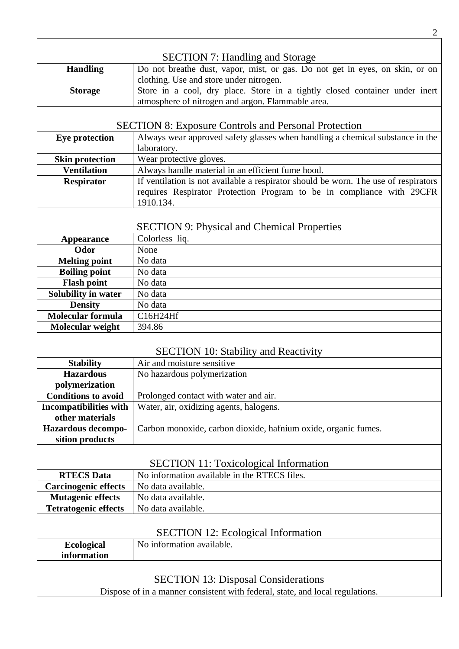|                                                                               | <b>SECTION 7: Handling and Storage</b>                                              |  |  |  |  |
|-------------------------------------------------------------------------------|-------------------------------------------------------------------------------------|--|--|--|--|
| <b>Handling</b>                                                               | Do not breathe dust, vapor, mist, or gas. Do not get in eyes, on skin, or on        |  |  |  |  |
|                                                                               | clothing. Use and store under nitrogen.                                             |  |  |  |  |
| <b>Storage</b>                                                                | Store in a cool, dry place. Store in a tightly closed container under inert         |  |  |  |  |
|                                                                               | atmosphere of nitrogen and argon. Flammable area.                                   |  |  |  |  |
|                                                                               |                                                                                     |  |  |  |  |
| <b>SECTION 8: Exposure Controls and Personal Protection</b>                   |                                                                                     |  |  |  |  |
| <b>Eye protection</b>                                                         | Always wear approved safety glasses when handling a chemical substance in the       |  |  |  |  |
|                                                                               | laboratory.                                                                         |  |  |  |  |
| <b>Skin protection</b>                                                        | Wear protective gloves.                                                             |  |  |  |  |
| <b>Ventilation</b>                                                            | Always handle material in an efficient fume hood.                                   |  |  |  |  |
| <b>Respirator</b>                                                             | If ventilation is not available a respirator should be worn. The use of respirators |  |  |  |  |
|                                                                               | requires Respirator Protection Program to be in compliance with 29CFR               |  |  |  |  |
|                                                                               | 1910.134.                                                                           |  |  |  |  |
|                                                                               |                                                                                     |  |  |  |  |
|                                                                               | <b>SECTION 9: Physical and Chemical Properties</b>                                  |  |  |  |  |
| <b>Appearance</b>                                                             | Colorless liq.                                                                      |  |  |  |  |
| Odor                                                                          | None                                                                                |  |  |  |  |
| <b>Melting point</b>                                                          | No data                                                                             |  |  |  |  |
| <b>Boiling point</b>                                                          | No data                                                                             |  |  |  |  |
| <b>Flash point</b>                                                            | No data                                                                             |  |  |  |  |
| <b>Solubility in water</b>                                                    | No data                                                                             |  |  |  |  |
| <b>Density</b>                                                                | No data                                                                             |  |  |  |  |
| <b>Molecular formula</b>                                                      | C16H24Hf                                                                            |  |  |  |  |
| Molecular weight                                                              | 394.86                                                                              |  |  |  |  |
|                                                                               |                                                                                     |  |  |  |  |
|                                                                               | <b>SECTION 10: Stability and Reactivity</b><br>Air and moisture sensitive           |  |  |  |  |
| <b>Stability</b><br><b>Hazardous</b>                                          |                                                                                     |  |  |  |  |
|                                                                               | No hazardous polymerization                                                         |  |  |  |  |
| polymerization<br><b>Conditions to avoid</b>                                  | Prolonged contact with water and air.                                               |  |  |  |  |
|                                                                               | Water, air, oxidizing agents, halogens.                                             |  |  |  |  |
| Incompatibilities with<br>other materials                                     |                                                                                     |  |  |  |  |
| Hazardous decompo-                                                            | Carbon monoxide, carbon dioxide, hafnium oxide, organic fumes.                      |  |  |  |  |
| sition products                                                               |                                                                                     |  |  |  |  |
|                                                                               |                                                                                     |  |  |  |  |
|                                                                               | <b>SECTION 11: Toxicological Information</b>                                        |  |  |  |  |
| <b>RTECS Data</b>                                                             | No information available in the RTECS files.                                        |  |  |  |  |
| <b>Carcinogenic effects</b>                                                   | No data available.                                                                  |  |  |  |  |
| <b>Mutagenic effects</b>                                                      | No data available.                                                                  |  |  |  |  |
| <b>Tetratogenic effects</b>                                                   | No data available.                                                                  |  |  |  |  |
|                                                                               |                                                                                     |  |  |  |  |
| <b>SECTION 12: Ecological Information</b>                                     |                                                                                     |  |  |  |  |
| <b>Ecological</b>                                                             | No information available.                                                           |  |  |  |  |
| information                                                                   |                                                                                     |  |  |  |  |
|                                                                               |                                                                                     |  |  |  |  |
|                                                                               |                                                                                     |  |  |  |  |
| <b>SECTION 13: Disposal Considerations</b>                                    |                                                                                     |  |  |  |  |
| Dispose of in a manner consistent with federal, state, and local regulations. |                                                                                     |  |  |  |  |

2